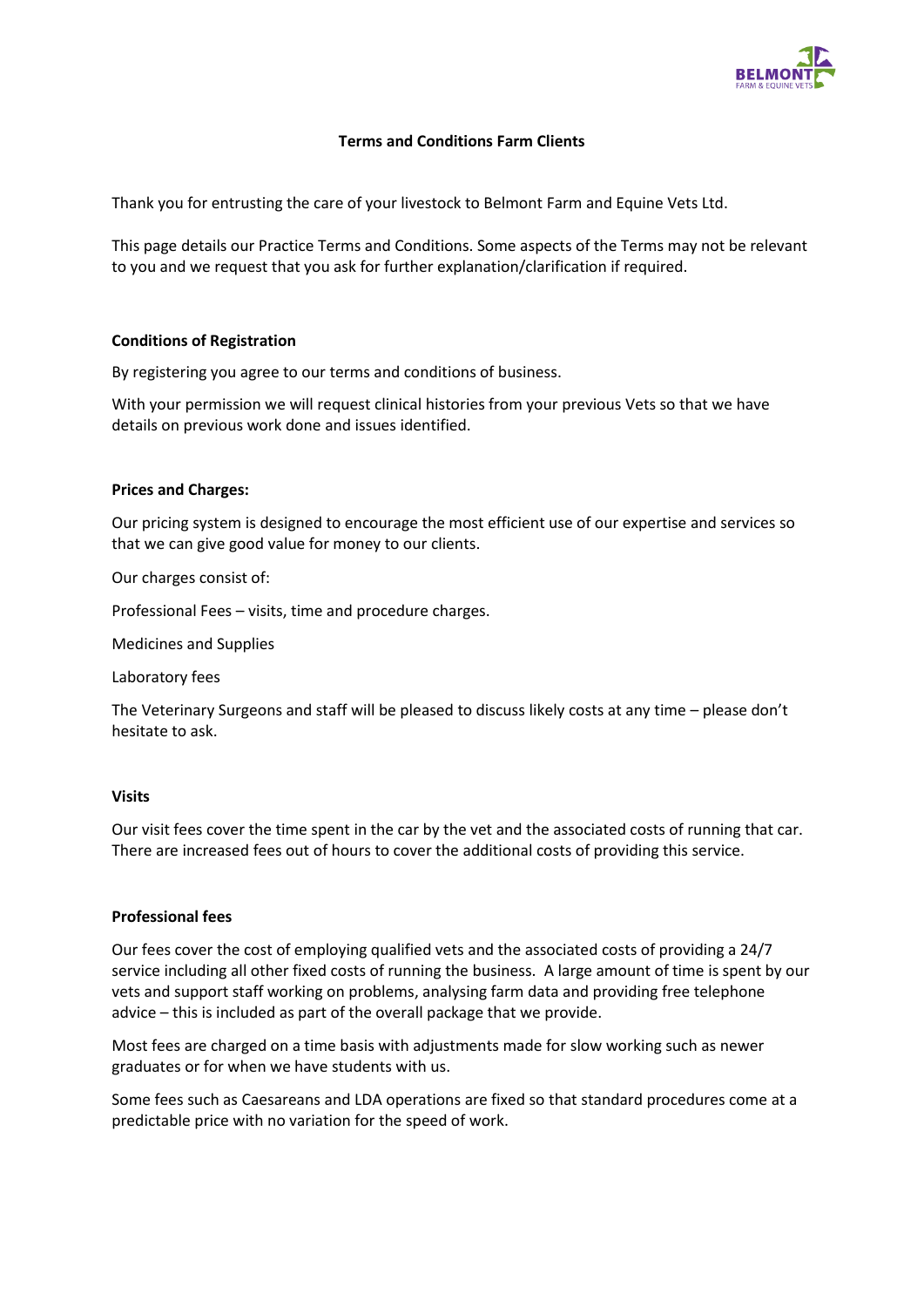

# **Terms and Conditions Farm Clients**

Thank you for entrusting the care of your livestock to Belmont Farm and Equine Vets Ltd.

This page details our Practice Terms and Conditions. Some aspects of the Terms may not be relevant to you and we request that you ask for further explanation/clarification if required.

## **Conditions of Registration**

By registering you agree to our terms and conditions of business.

With your permission we will request clinical histories from your previous Vets so that we have details on previous work done and issues identified.

#### **Prices and Charges:**

Our pricing system is designed to encourage the most efficient use of our expertise and services so that we can give good value for money to our clients.

Our charges consist of:

Professional Fees – visits, time and procedure charges.

Medicines and Supplies

Laboratory fees

The Veterinary Surgeons and staff will be pleased to discuss likely costs at any time – please don't hesitate to ask.

#### **Visits**

Our visit fees cover the time spent in the car by the vet and the associated costs of running that car. There are increased fees out of hours to cover the additional costs of providing this service.

#### **Professional fees**

Our fees cover the cost of employing qualified vets and the associated costs of providing a 24/7 service including all other fixed costs of running the business. A large amount of time is spent by our vets and support staff working on problems, analysing farm data and providing free telephone advice – this is included as part of the overall package that we provide.

Most fees are charged on a time basis with adjustments made for slow working such as newer graduates or for when we have students with us.

Some fees such as Caesareans and LDA operations are fixed so that standard procedures come at a predictable price with no variation for the speed of work.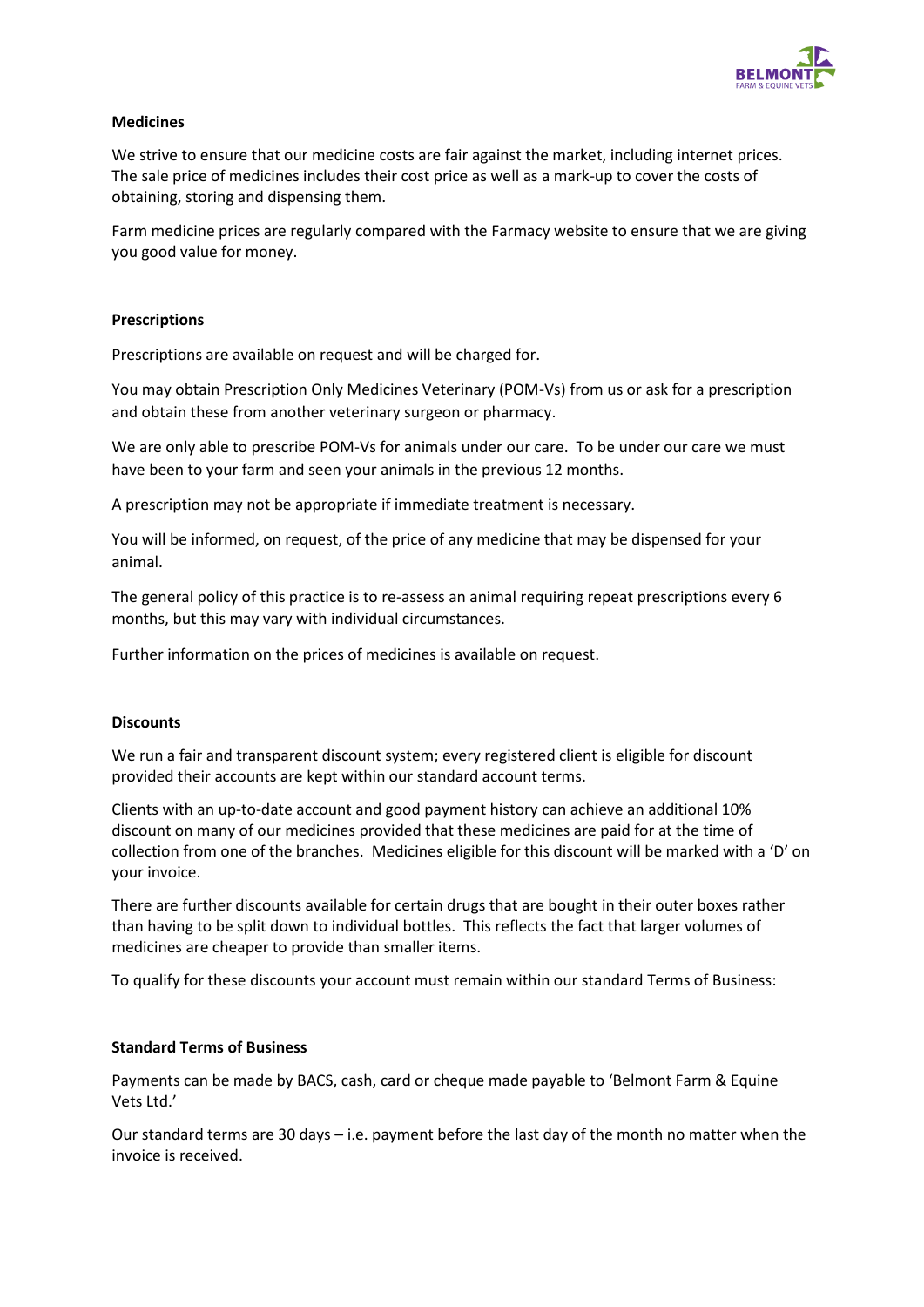

# **Medicines**

We strive to ensure that our medicine costs are fair against the market, including internet prices. The sale price of medicines includes their cost price as well as a mark-up to cover the costs of obtaining, storing and dispensing them.

Farm medicine prices are regularly compared with the Farmacy website to ensure that we are giving you good value for money.

### **Prescriptions**

Prescriptions are available on request and will be charged for.

You may obtain Prescription Only Medicines Veterinary (POM-Vs) from us or ask for a prescription and obtain these from another veterinary surgeon or pharmacy.

We are only able to prescribe POM-Vs for animals under our care. To be under our care we must have been to your farm and seen your animals in the previous 12 months.

A prescription may not be appropriate if immediate treatment is necessary.

You will be informed, on request, of the price of any medicine that may be dispensed for your animal.

The general policy of this practice is to re-assess an animal requiring repeat prescriptions every 6 months, but this may vary with individual circumstances.

Further information on the prices of medicines is available on request.

# **Discounts**

We run a fair and transparent discount system; every registered client is eligible for discount provided their accounts are kept within our standard account terms.

Clients with an up-to-date account and good payment history can achieve an additional 10% discount on many of our medicines provided that these medicines are paid for at the time of collection from one of the branches. Medicines eligible for this discount will be marked with a 'D' on your invoice.

There are further discounts available for certain drugs that are bought in their outer boxes rather than having to be split down to individual bottles. This reflects the fact that larger volumes of medicines are cheaper to provide than smaller items.

To qualify for these discounts your account must remain within our standard Terms of Business:

# **Standard Terms of Business**

Payments can be made by BACS, cash, card or cheque made payable to 'Belmont Farm & Equine Vets Ltd.'

Our standard terms are 30 days – i.e. payment before the last day of the month no matter when the invoice is received.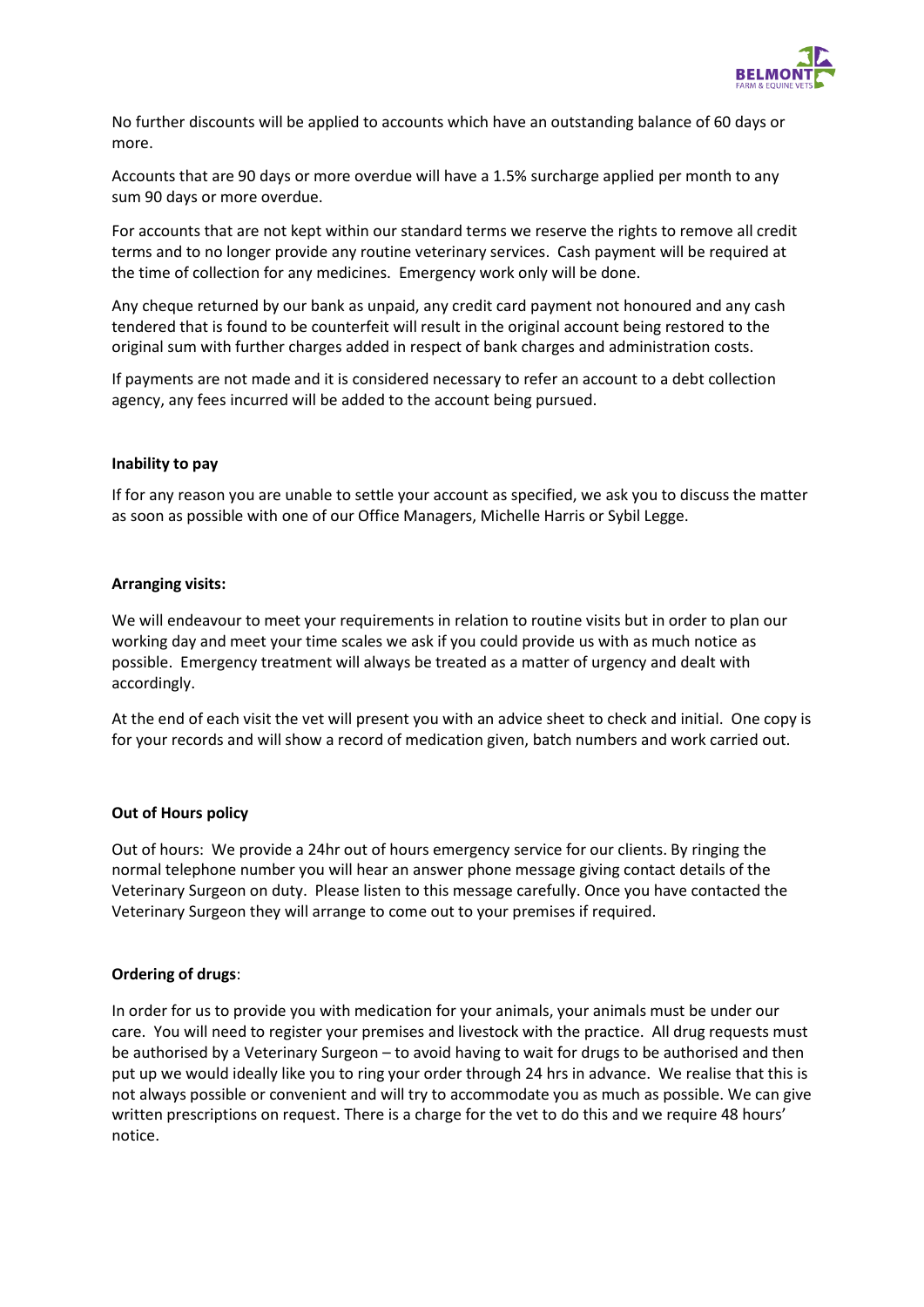

No further discounts will be applied to accounts which have an outstanding balance of 60 days or more.

Accounts that are 90 days or more overdue will have a 1.5% surcharge applied per month to any sum 90 days or more overdue.

For accounts that are not kept within our standard terms we reserve the rights to remove all credit terms and to no longer provide any routine veterinary services. Cash payment will be required at the time of collection for any medicines. Emergency work only will be done.

Any cheque returned by our bank as unpaid, any credit card payment not honoured and any cash tendered that is found to be counterfeit will result in the original account being restored to the original sum with further charges added in respect of bank charges and administration costs.

If payments are not made and it is considered necessary to refer an account to a debt collection agency, any fees incurred will be added to the account being pursued.

## **Inability to pay**

If for any reason you are unable to settle your account as specified, we ask you to discuss the matter as soon as possible with one of our Office Managers, Michelle Harris or Sybil Legge.

## **Arranging visits:**

We will endeavour to meet your requirements in relation to routine visits but in order to plan our working day and meet your time scales we ask if you could provide us with as much notice as possible. Emergency treatment will always be treated as a matter of urgency and dealt with accordingly.

At the end of each visit the vet will present you with an advice sheet to check and initial. One copy is for your records and will show a record of medication given, batch numbers and work carried out.

#### **Out of Hours policy**

Out of hours: We provide a 24hr out of hours emergency service for our clients. By ringing the normal telephone number you will hear an answer phone message giving contact details of the Veterinary Surgeon on duty. Please listen to this message carefully. Once you have contacted the Veterinary Surgeon they will arrange to come out to your premises if required.

# **Ordering of drugs**:

In order for us to provide you with medication for your animals, your animals must be under our care. You will need to register your premises and livestock with the practice. All drug requests must be authorised by a Veterinary Surgeon – to avoid having to wait for drugs to be authorised and then put up we would ideally like you to ring your order through 24 hrs in advance. We realise that this is not always possible or convenient and will try to accommodate you as much as possible. We can give written prescriptions on request. There is a charge for the vet to do this and we require 48 hours' notice.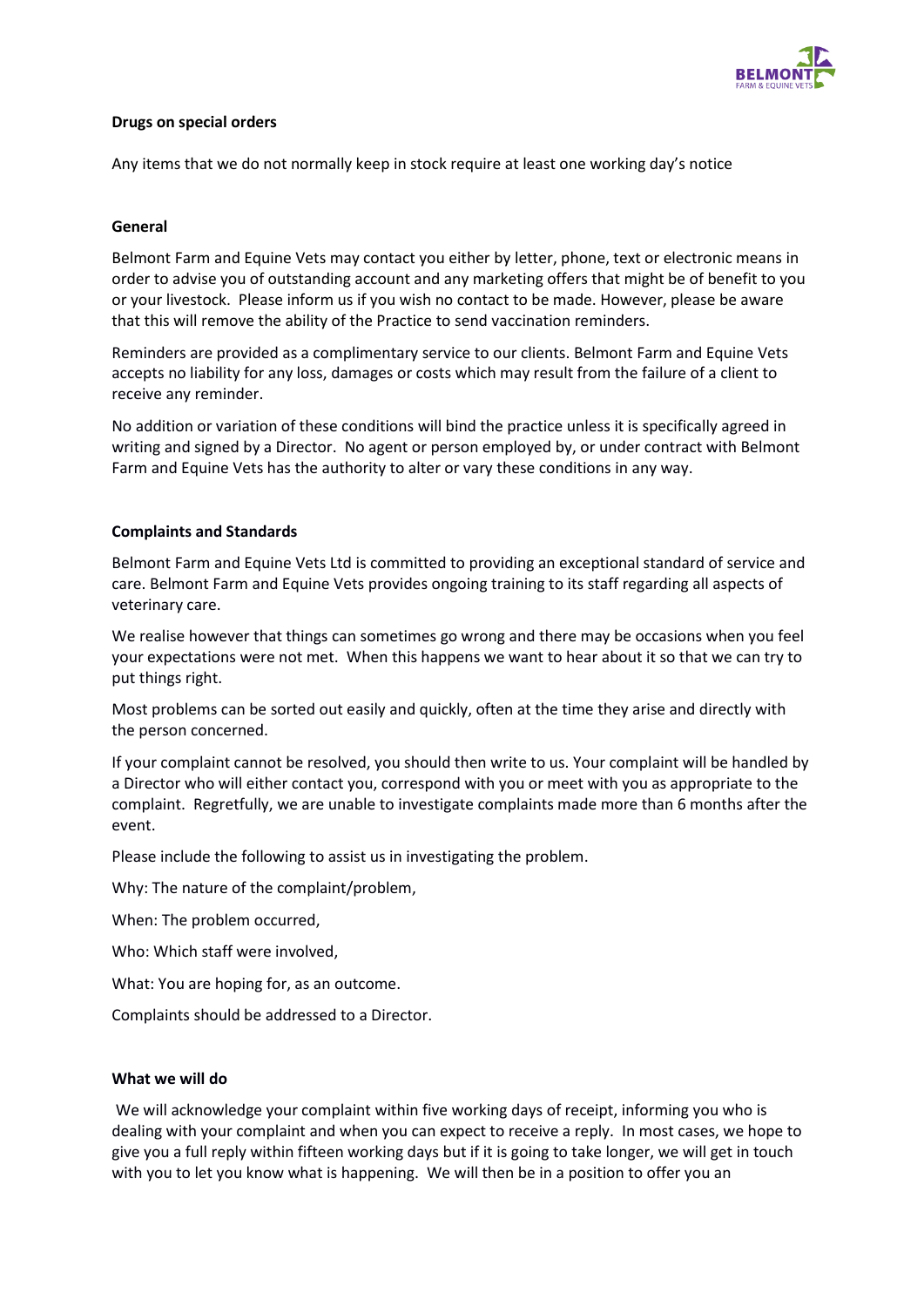

# **Drugs on special orders**

Any items that we do not normally keep in stock require at least one working day's notice

## **General**

Belmont Farm and Equine Vets may contact you either by letter, phone, text or electronic means in order to advise you of outstanding account and any marketing offers that might be of benefit to you or your livestock. Please inform us if you wish no contact to be made. However, please be aware that this will remove the ability of the Practice to send vaccination reminders.

Reminders are provided as a complimentary service to our clients. Belmont Farm and Equine Vets accepts no liability for any loss, damages or costs which may result from the failure of a client to receive any reminder.

No addition or variation of these conditions will bind the practice unless it is specifically agreed in writing and signed by a Director. No agent or person employed by, or under contract with Belmont Farm and Equine Vets has the authority to alter or vary these conditions in any way.

## **Complaints and Standards**

Belmont Farm and Equine Vets Ltd is committed to providing an exceptional standard of service and care. Belmont Farm and Equine Vets provides ongoing training to its staff regarding all aspects of veterinary care.

We realise however that things can sometimes go wrong and there may be occasions when you feel your expectations were not met. When this happens we want to hear about it so that we can try to put things right.

Most problems can be sorted out easily and quickly, often at the time they arise and directly with the person concerned.

If your complaint cannot be resolved, you should then write to us. Your complaint will be handled by a Director who will either contact you, correspond with you or meet with you as appropriate to the complaint. Regretfully, we are unable to investigate complaints made more than 6 months after the event.

Please include the following to assist us in investigating the problem.

Why: The nature of the complaint/problem,

When: The problem occurred,

Who: Which staff were involved,

What: You are hoping for, as an outcome.

Complaints should be addressed to a Director.

#### **What we will do**

We will acknowledge your complaint within five working days of receipt, informing you who is dealing with your complaint and when you can expect to receive a reply. In most cases, we hope to give you a full reply within fifteen working days but if it is going to take longer, we will get in touch with you to let you know what is happening. We will then be in a position to offer you an